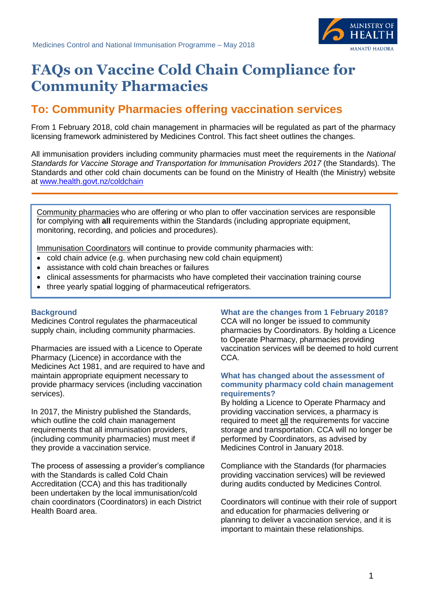

# **FAQs on Vaccine Cold Chain Compliance for Community Pharmacies**

# **To: Community Pharmacies offering vaccination services**

From 1 February 2018, cold chain management in pharmacies will be regulated as part of the pharmacy licensing framework administered by Medicines Control. This fact sheet outlines the changes.

All immunisation providers including community pharmacies must meet the requirements in the *National Standards for Vaccine Storage and Transportation for Immunisation Providers 2017* (the Standards)*.* The Standards and other cold chain documents can be found on the Ministry of Health (the Ministry) website at [www.health.govt.nz/coldchain](http://www.health.govt.nz/coldchain)

Community pharmacies who are offering or who plan to offer vaccination services are responsible for complying with **all** requirements within the Standards (including appropriate equipment, monitoring, recording, and policies and procedures).

Immunisation Coordinators will continue to provide community pharmacies with:

- cold chain advice (e.g. when purchasing new cold chain equipment)
- assistance with cold chain breaches or failures
- clinical assessments for pharmacists who have completed their vaccination training course
- three yearly spatial logging of pharmaceutical refrigerators.

# **Background**

Medicines Control regulates the pharmaceutical supply chain, including community pharmacies.

Pharmacies are issued with a Licence to Operate Pharmacy (Licence) in accordance with the Medicines Act 1981, and are required to have and maintain appropriate equipment necessary to provide pharmacy services (including vaccination services).

In 2017, the Ministry published the Standards, which outline the cold chain management requirements that all immunisation providers, (including community pharmacies) must meet if they provide a vaccination service.

The process of assessing a provider's compliance with the Standards is called Cold Chain Accreditation (CCA) and this has traditionally been undertaken by the local immunisation/cold chain coordinators (Coordinators) in each District Health Board area.

# **What are the changes from 1 February 2018?**

CCA will no longer be issued to community pharmacies by Coordinators. By holding a Licence to Operate Pharmacy, pharmacies providing vaccination services will be deemed to hold current CCA.

#### **What has changed about the assessment of community pharmacy cold chain management requirements?**

By holding a Licence to Operate Pharmacy and providing vaccination services, a pharmacy is required to meet all the requirements for vaccine storage and transportation. CCA will no longer be performed by Coordinators, as advised by Medicines Control in January 2018.

Compliance with the Standards (for pharmacies providing vaccination services) will be reviewed during audits conducted by Medicines Control.

Coordinators will continue with their role of support and education for pharmacies delivering or planning to deliver a vaccination service, and it is important to maintain these relationships.